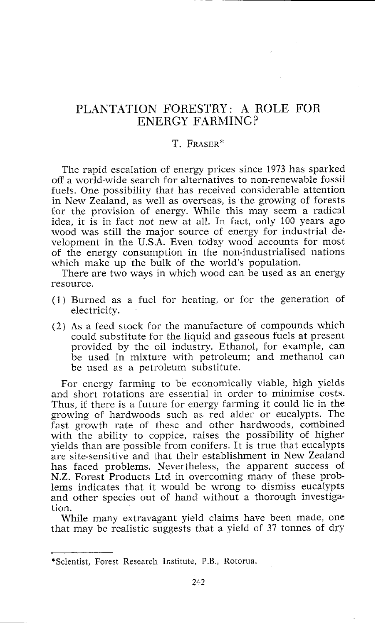## PLANTATION FORESTRY: A ROLE FOR ENERGY FARMING?

## T. FRASER\*

The rapid escalation of energy prices since 1973 has sparked off a world-wide search for alternatives to non-renewable fossil fuels. One possibility that has received considerable attention in New Zealand, as well as overseas, is the growing of forests for the provision of energy. While this may seem a radical idea, it is in fact not new at all. In fact, only 100 years ago wood was still the major source of energy for industrial development in the U.S.A. Even today wood accounts for most of the energy consumption in the non-industrialised nations which make up the bulk of the world's population.

There are two ways in which wood can be used as an energy resource.

- $(1)$  Burned as a fuel for heating, or for the generation of electricity.
- $(2)$  As a feed stock for the manufacture of compounds which could substitute for the liquid and gaseous fuels at presznt provided by the oil industry. Ethanol, for example, can be used in mixture with petroleum; and methanol can be used as a petroletun substitute.

For energy farming to be economically viable, high yields and short rotations are essential in order to minimise costs. Thus, if there is a future for energy farming it could lie in the growing of hardwoods such as red alder or eucalypts. The fast growth rate of these and other hardwoods, combined with the ability to coppice, raises the possibility of higher yields than are possible from conifers. It is true that eucalypts are site-sensitive and that their establishment in New Zealand has faced problems. Nevertheless, the apparent success of N.Z. Forest Products Ltd in overcoming many of these problems indicates that it would be wrong to dismiss eucalypts and other species out of hand without a thorough investigation.

While many extravagant yield claims have been made, one that may be realistic suggests that a yield of 37 tonnes of dry

<sup>\*</sup>Scientist, Forest Research Institute, P.B., Rotorua.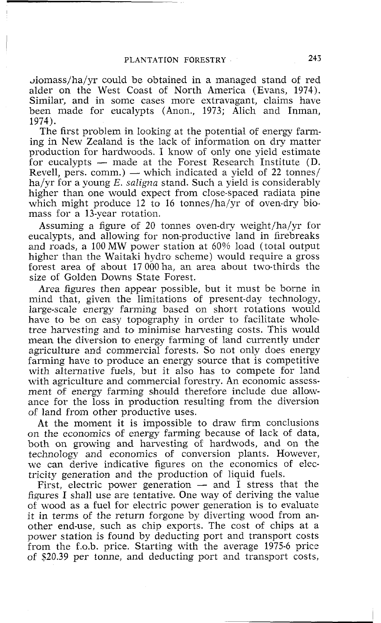~iomass/ha/yr could be obtained in a managed stand of red alder on the West Coast of North America (Evans, 1974). Similar, and in some cases more extravagant, claims have been made for eucalypts (Anon., 1973; Alich and Inman, 1974).

The first problem in looking at the potential of energy farming in New Zealand is the lack of information on dry matter production for hardwoods. I know of only one yield estimate ing in New Zealand is the lack of information on dry matter<br>production for hardwoods. I know of only one yield estimate<br>for eucalypts — made at the Forest Research Institute (D.<br>Revell pers. comm.) which indicated a vield production for hardwoods. I know of only one yield estimate<br>for eucalypts — made at the Forest Research Institute (D.<br>Revell, pers. comm.) — which indicated a yield of 22 tonnes/<br>he/vn for a young E gligne atord. Such a y ha/yr for a young  $E$ , *saligna* stand. Such a yield is considerably higher than one would expect from close-spaced radiata pine which might produce 12 to 16 tonnes/ha/yr of oven-dry biomass for a 13-year rotation.

Assuming a figure of 20 tonnes oven-dry weight/ha/yr for eucalypts, and allowing for non-productive land in firebreaks and roads, a 100MW power station at 60% load (total output higher than the Waitaki hydro scheme) would require a gross forest area of about 17 000 ha, an area about two-thirds the size of Golden Downs State Forest.

Area figures then appear possible, but it must be borne in mind that, given the limitations of present-day technology, large-scale energy farming based on short rotations would have to be on easy topography in order to facilitate whole. tree harvesting and to minimise harvesting costs. This would mean the diversion to energy farming of land currently under agriculture and commercial forests. So not only does energy farming have to produce an energy source that is competitive with alternative fuels, but it also has to compete for land with agriculture and commercial forestry. An economic assessment of energy farming should therefore include due allowance for the loss in production resulting from the diversion of land from other productive uses.

At the moment it is impossible to draw firm conclusions on the economics of energy farming because of lack of data, both on growing and harvesting. of hardwods, and on the technology and economics of conversion plants. However, we can derive indicative figures on the economics of electricity generation and the production of liquid fuels.

First, electric power generation  $-$  and  $\overline{I}$  stress that the figures I shall use are tentative. One way of deriving the value of wood as a fuel for electric power generation is to evaluate it in terms of the return forgone by diverting wood from another end-use, such as chip exports. The cost of chips at a power station is found by deducting port and transport costs from the f.0.b. price. Starting with the average 1975-6 price of \$20.39 per tonne, and deducting port and transport costs,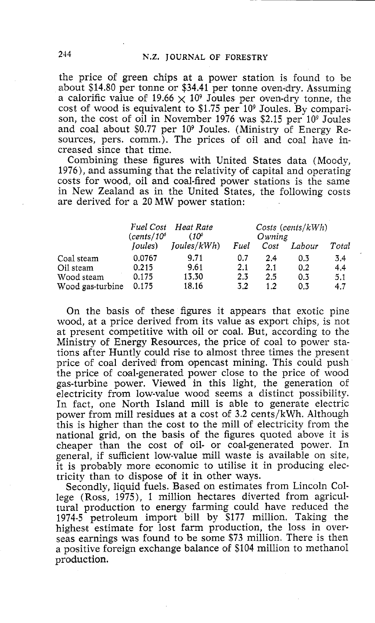the price of green chips at a power station is found to be about \$14.80 per tonne or \$34.41 per tonne oven-dry. Assuming a calorific value of 19.66  $\times$  10<sup>9</sup> Joules per oven-dry tonne, the cost of wood is equivalent to  $$1.75$  per  $10^9$  Joules. By comparison, the cost of oil in November 1976 was \$2.15 per 10<sup>9</sup> Joules and coal about \$0.77 per 10<sup>9</sup> Joules. (Ministry of Energy Resources, pers. comm.). The prices of oil and coal have increased since that time.

Combining these figures with United States data (Moody, 1976), and assuming that the relativity of capital and operating costs for wood, oil and coal-fired power stations is the same in New Zealand as in the United States, the following costs are derived for a 20 MW power station:

|                  | (cents/10 <sup>6</sup> ) | Fuel Cost Heat Rate<br>(10° | $Costs$ (cents/ $kWh$ )<br>Owning |      |        |       |
|------------------|--------------------------|-----------------------------|-----------------------------------|------|--------|-------|
|                  | ( <i>Joules</i> )        | Ioules/kWh                  | Fuel                              | Cost | Labour | Total |
| Coal steam       | 0.0767                   | 9.71                        | 0.7                               | 2.4  | 0.3    | 3.4   |
| Oil steam        | 0.215                    | 9.61                        | 2.1                               | 2.1  | 0.2    | 4.4   |
| Wood steam       | 0.175                    | 13.30                       | 2.3                               | 2.5  | 0.3    | 5.1   |
| Wood gas-turbine | 0.175                    | 18.16                       | 3.2                               | 1.2  | 0.3    | 4.7   |

On the basis of these figures it appears that exotic pine wood, at a price derived from its value as export chips, is not at present competitive with oil or coal. But, according to the Ministry of Energy Resources, the price of coal to power stations after Huntly could rise to almost three times the present price of coal derived from opencast mining. This could push the price of coal-generated power close to the price of wood gas-turbine power. Viewed in this light, the generation of electricity from low-value wood seems a distinct possibility. In fact, one North Island mill is able to generate electric power from mill residues at a cost of 3.2 cents/kWh. Although this is higher than the cost to the mill of electricity from the national grid, on the basis of the figures quoted above it is cheaper than the cost of oil- or coal-generated power. In general, if sufficient low-value mill waste is available on site, it is probably more economic to utilise it in producing electricity than to dispose of it in other ways.

Secondly, liquid fuels. Based on estimates from Lincoln College (Ross, 1975), 1 million hectares diverted from agricultural production to energy farming could have reduced the 1974-5 petroleum import bill by \$177 million. Taking the highest estimate for lost farm production, the loss in overseas earnings was found to be some \$73 million. There is then a positive foreign exchange balance of \$104 million to methanol production.